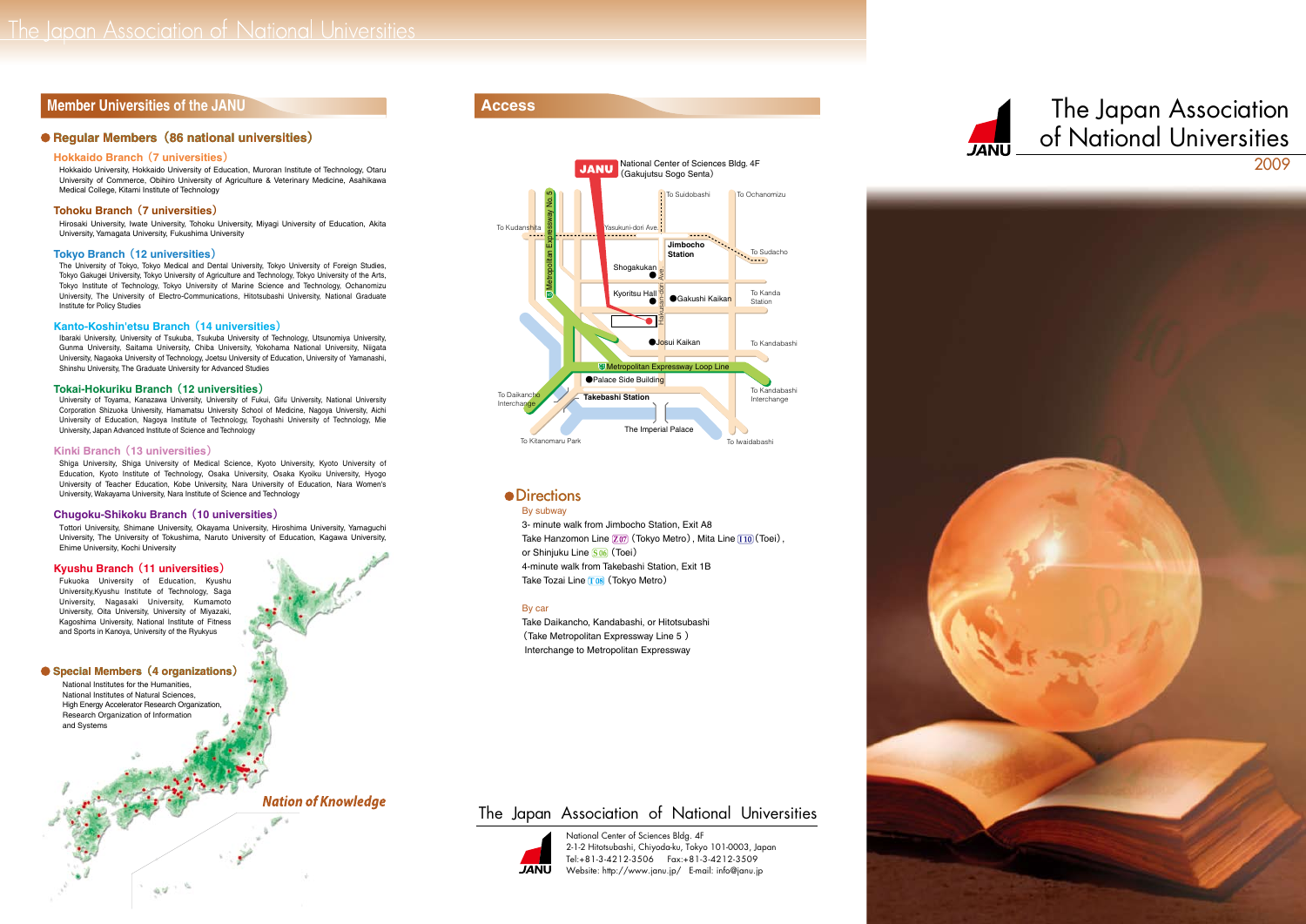# **Member Universities of the JANU**

### **Regular Members (86 national universities)**

### **Hokkaido Branch (7 universities)**

Hokkaido University, Hokkaido University of Education, Muroran Institute of Technology, Otaru University of Commerce, Obihiro University of Agriculture & Veterinary Medicine, Asahikawa Medical College, Kitami Institute of Technology

### Tohoku Branch (7 universities)

Hirosaki University, Iwate University, Tohoku University, Miyagi University of Education, Akita University, Yamagata University, Fukushima University

### **Tokyo Branch (12 universities)**

The University of Tokyo, Tokyo Medical and Dental University, Tokyo University of Foreign Studies, Tokyo Gakugei University, Tokyo University of Agriculture and Technology, Tokyo University of the Arts, Tokyo Institute of Technology, Tokyo University of Marine Science and Technology, Ochanomizu Graduate University of Electro-Communications. Hitotsubashi University, National Graduate Institute for Policy Studies

### **Kanto-Koshin'etsu Branch (14 universities)**

Ibaraki University, University of Tsukuba, Tsukuba University of Technology, Utsunomiya University, Gunma University, Saitama University, Chiba University, Yokohama National University, Niigata University, Nagaoka University of Technology, Joetsu University of Education, University of Yamanashi, Shinshu University, The Graduate University for Advanced Studies **Tokai-Hokuriku Branch** (12 universities)

University of Toyama, Kanazawa University, University of Fukui, Gifu University, National University Corporation Shizuoka University, Hamamatsu University School of Medicine, Nagoya University, Aichi University of Education, Nagoya Institute of Technology, Toyohashi University of Technology, Mie University, Japan Advanced Institute of Science and Technology

### Kinki Branch (13 universities)

Shiga University, Shiga University of Medical Science, Kyoto University, Kyoto University of Education, Kyoto Institute of Technology, Osaka University, Osaka Kyoiku University, Hyogo University of Teacher Education, Kobe University, Nara University of Education, Nara Women's University, Wakayama University, Nara Institute of Science and Technology

### **Chugoku-Shikoku Branch (10 universities)**

Tottori University, Shimane University, Okayama University, Hiroshima University, Yamaguchi University, The University of Tokushima, Naruto University of Education, Kagawa University,

# Ehime University, Kochi University<br>**Kyushu Branch (11 universities)**

Fukuoka University of Education, Kyushu University, Kyushu Institute of Technology, Saga University, Nagasaki University, Kumamoto University, Oita University, University of Miyazaki, Kagoshima University, National Institute of Fitness and Sports in Kanoya, University of the Ryukyus

### **Special Members (4 organizations)**

National Institutes for the Humanities. National Institutes of Natural Sciences High Energy Accelerator Research Organization, Research Organization of Information and Systems

 $\omega$  -  $\omega$ 



## **•** Directions

### By subway

3- minute walk from Jimbocho Station, Exit A8 Take Hanzomon Line  $\boxed{207}$  (Tokyo Metro), Mita Line  $\boxed{110}$  (Toei), or Shinjuku Line **S** 06 (Toei) 4-minute walk from Takebashi Station, Exit 1B Take Tozai Line 108 (Tokyo Metro)

### By car

Take Daikancho, Kandabashi, or Hitotsubashi (Take Metropolitan Expressway Line 5) Interchange to Metropolitan Expressway

# The Japan Association of National Universities



National Center of Sciences Bldg. 4F 2-1-2 Hitotsubashi, Chiyoda ku, Tokyo 101-0003, Japan  $Tel: +81-3-4212-3506$   $Fax: +81-3-4212-3509$ Website: http://www.janu.jp/ E-mail: info@janu.jp





# **Nation of Knowledge**



# Access The Japan Association of National Universities 2009